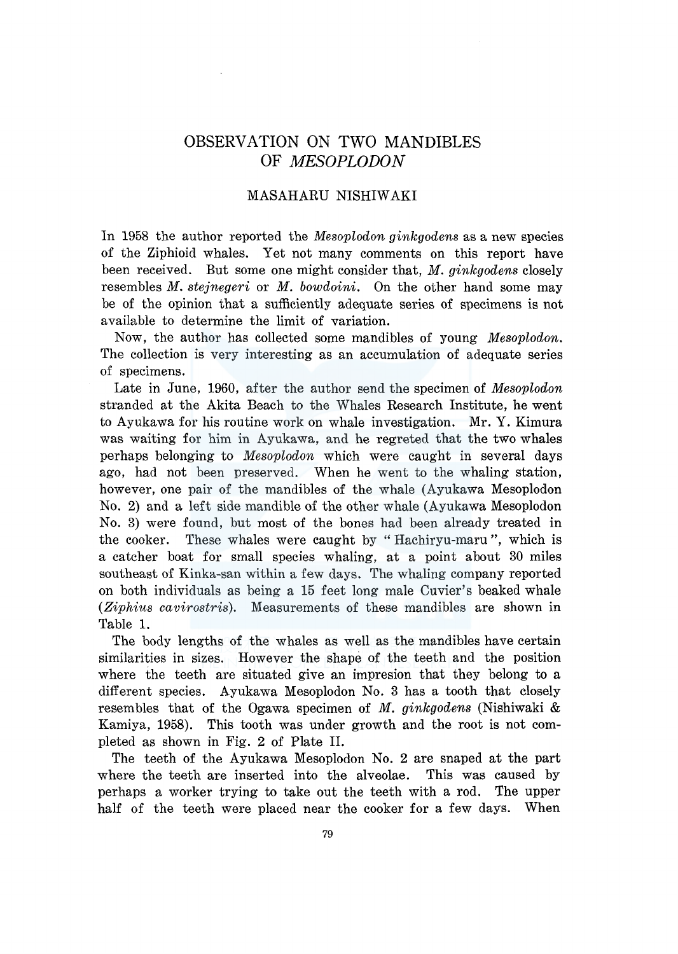# OBSERVATION ON TWO MANDIBLES OF *MESOPLODON*

# MASAHARU NISHIW AKI

In 1958 the author reported the *Mesoplodon ginkgodens* as a new species of the Ziphioid whales. Yet not many comments on this report have been received. But some one might consider that, *M. ginkgodens* closely resembles *M. stejnegeri* or *M. bowdoini.* On the other hand some may be of the opinion that a sufficiently adequate series of specimens is not available to determine the limit of variation.

Now, the author has collected some mandibles of young *Mesoplodon.*  The collection is very interesting as an accumulation of adequate series of specimens.

Late in June, 1960, after the author send the specimen of *Mesoplodon*  stranded at the Akita Beach to the Whales Research Institute, he went to Ayukawa for his routine work on whale investigation. Mr. Y. Kimura was waiting for him in Ayukawa, and he regreted that the two whales perhaps belonging to *Mesoplodon* which were caught in several days ago, had not been preserved. When he went to the whaling station, however, one pair of the mandibles of the whale (Ayukawa Mesoplodon No. 2) and a left side mandible of the other whale (Ayukawa Mesoplodon No. 3) were found, but most of the bones had been already treated in the cooker. These whales were caught by "Hachiryu-maru ", which is a catcher boat for small species whaling, at a point about 30 miles southeast of Kinka-san within a few days. The whaling company reported on both individuals as being a 15 feet long male Cuvier's beaked whale *(Ziphius cavirostris).* Measurements of these mandibles are shown in Table 1.

The body lengths of the whales as well as the mandibles have certain similarities in sizes. However the shape of the teeth and the position where the teeth are situated give an impresion that they belong to a different species. Ayukawa Mesoplodon No. 3 has a tooth that closely resembles that of the Ogawa specimen of *M. ginkgodens* (Nishiwaki & Kamiya, 1958). This tooth was under growth and the root is not completed as shown in Fig. 2 of Plate II.

The teeth of the Ayukawa Mesoplodon No. 2 are snaped at the part where the teeth are inserted into the alveolae. This was caused by perhaps a worker trying to take out the teeth with a rod. The upper half of the teeth were placed near the cooker for a few days. When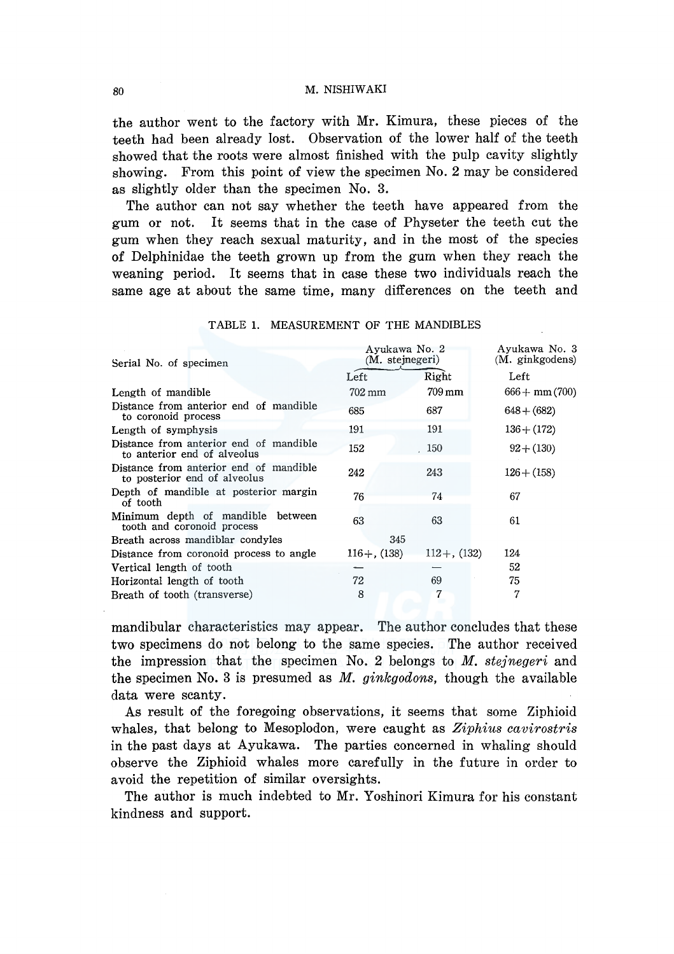80 M. NISHIW AKI

the author went to the factory with Mr. Kimura, these pieces of the teeth had been already lost. Observation of the lower half of the teeth showed that the roots were almost finished with the pulp cavity slightly showing. From this point of view the specimen No. 2 may be considered as slightly older than the specimen No. 3.

The author can not say whether the teeth have appeared from the gum or not. It seems that in the case of Physeter the teeth cut the gum when they reach sexual maturity, and in the most of the species of Delphinidae the teeth grown up from the gum when they reach the weaning period. It seems that in case these two individuals reach the same age at about the same time, many differences on the teeth and

| Serial No. of specimen                                                 | Avukawa No. 2<br>(M. stejnegeri) |                     | Ayukawa No. 3<br>(M. ginkgodens) |
|------------------------------------------------------------------------|----------------------------------|---------------------|----------------------------------|
|                                                                        | Left                             | Right               | Left                             |
| Length of mandible                                                     | 702 mm                           | $709 \,\mathrm{mm}$ | $666 + \text{mm} (700)$          |
| Distance from anterior end of mandible<br>to coronoid process          | 685                              | 687                 | $648 + (682)$                    |
| Length of symphysis                                                    | 191                              | 191                 | $136 + (172)$                    |
| Distance from anterior end of mandible<br>to anterior end of alveolus  | 152                              | 150                 | $92 + (130)$                     |
| Distance from anterior end of mandible<br>to posterior end of alveolus | 242                              | 243                 | $126 + (158)$                    |
| Depth of mandible at posterior margin<br>of tooth                      | 76                               | 74                  | 67                               |
| Minimum depth of mandible between<br>tooth and coronoid process        | 63                               | 63                  | 61                               |
| Breath across mandiblar condyles                                       | 345                              |                     |                                  |
| Distance from coronoid process to angle                                | $116 + (138)$                    | $112 +$ , (132)     | 124                              |
| Vertical length of tooth                                               |                                  |                     | 52                               |
| Horizontal length of tooth                                             | 72                               | 69                  | 75                               |
| Breath of tooth (transverse)                                           | 8                                | 7                   | 7                                |

TABLE 1. MEASUREMENT OF THE MANDIBLES

mandibular characteristics may appear. The author concludes that these two specimens do not belong to the same species. The author received the impression that the specimen No. 2 belongs to *M. stejnegeri* and the specimen No. 3 is presumed as *M. ginkgodons,* though the available data were scanty.

As result of the foregoing observations, it seems that some Ziphioid whales, that belong to Mesoplodon, were caught as *Ziphius cavirostris*  in the past days at Ayukawa. The parties concerned in whaling should observe the Ziphioid whales more carefully in the future in order to avoid the repetition of similar oversights.

The author is much indebted to Mr. Yoshinori Kimura for his constant kindness and support.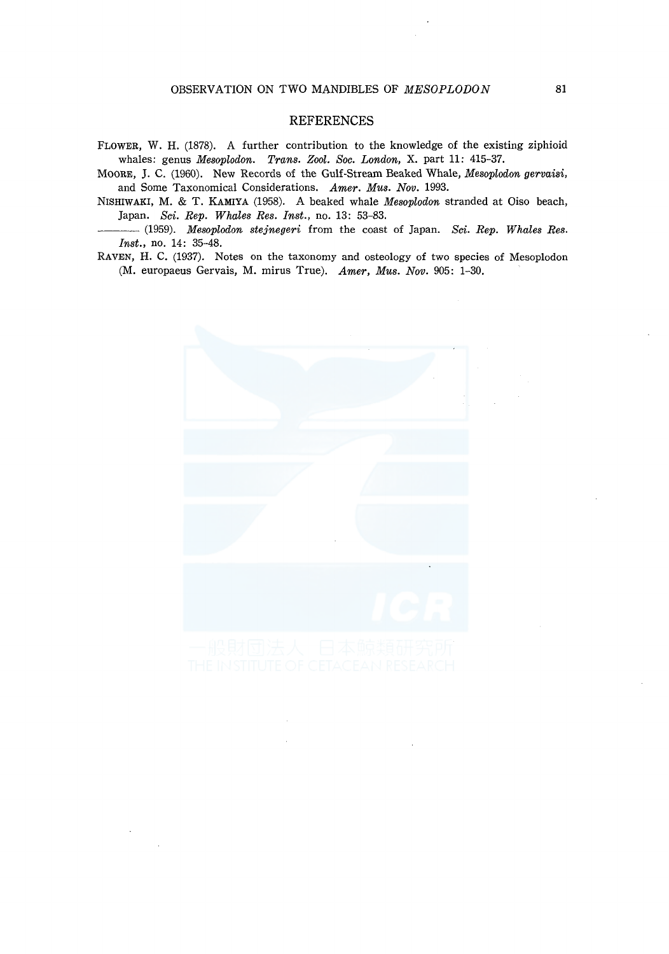### **REFERENCES**

FLOWER, W. **H.** (1878). A further contribution to the knowledge of the existing ziphioid whales: genus *Mesoplodon. Trans. Zool. Soc. London,* X. part **11:** 415-37.

MOORE, J. C. (1960). New Records of the Gulf-Stream Beaked Whale, *Mesoplodon gervaisi,*  and Some Taxonomical Considerations. *Amer. Mus. Nov.* 1993.

NISHIWAKI, M. & T. KAMIYA (1958). A beaked whale *Mesoplodon* stranded at Oiso beach, Japan. *Sci. Rep. Whales Res. Inst.,* no. 13: 53-83.

---(1959). *Mesoplodon stejnegeri* from the coast of Japan. *Sci. Rep. Whales Res. Inst.,* no. 14: 35-48.

RAVEN, **H.** C. (1937). Notes on the taxonomy and osteology of two species of Mesoplodon (M. europaeus Gervais, M. mirus True). *Amer, Mus. Nov.* 905: 1-30.

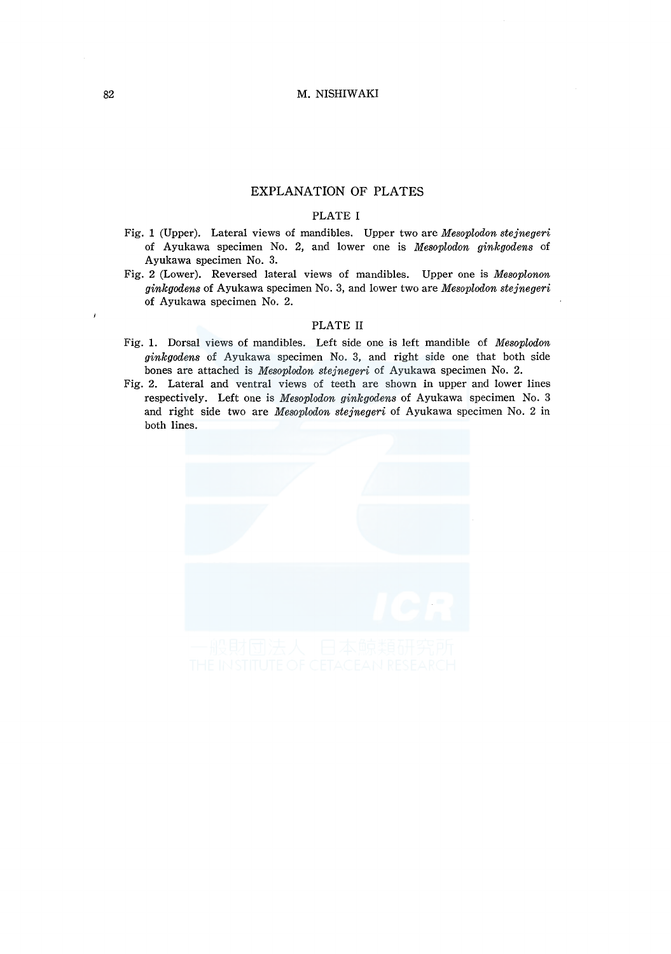## EXPLANATION OF PLATES

### PLATE I

- Fig. 1 (Upper). Lateral views of mandibles. Upper two are *Mesoplodon stejnegeri*  of Ayukawa specimen No. 2, and lower one is *Mesoplodon ginkgodens* of Ayukawa specimen No. 3.
- Fig. 2 (Lower). Reversed lateral views of mandibles. Upper one is *Mesoplonon ginkgodens* of Ayukawa specimen No. 3, and lower two are *Mesoplodon stejnegeri*  of Ayukawa specimen No. 2.

#### PLATE II

- Fig. 1. Dorsal views of mandibles. Left side one is left mandible of *Mesoplodon ginkgodens* of Ayukawa specimen No. 3, and right side one that both side bones are attached is *Mesoplodon stejnegeri* of Ayukawa specimen No. 2.
- Fig. 2. Lateral and ventral views of teeth are shown in upper and lower lines respectively. Left one is *Mesoplodon ginkgodens* of Ayukawa specimen No. 3 and right side two are *Mesoplodon stejnegeri* of Ayukawa specimen No. 2 in both lines.

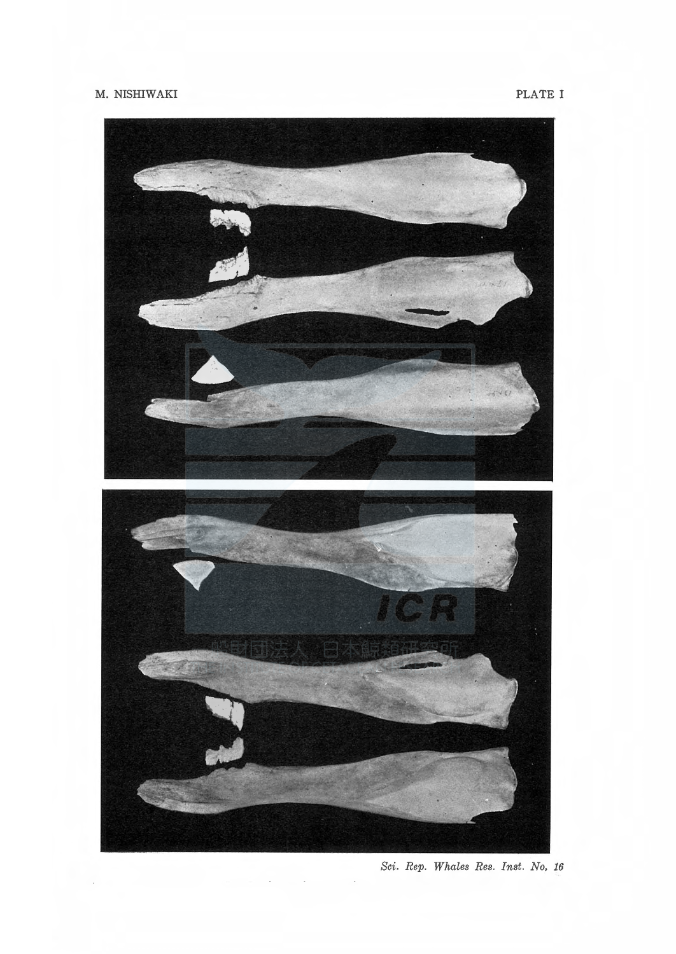

Sci. Rep. Whales Res. Inst. No. 16